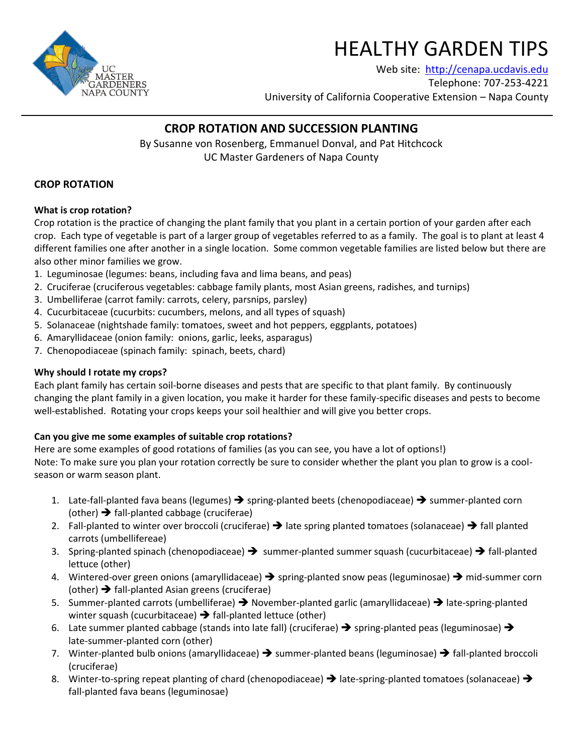

# HEALTHY GARDEN TIPS

Web site: [http://cenapa.ucdavis.edu](http://cenapa.ucdavis.edu/) Telephone: 707-253-4221 University of California Cooperative Extension – Napa County

# **CROP ROTATION AND SUCCESSION PLANTING**

By Susanne von Rosenberg, Emmanuel Donval, and Pat Hitchcock UC Master Gardeners of Napa County

# **CROP ROTATION**

# **What is crop rotation?**

Crop rotation is the practice of changing the plant family that you plant in a certain portion of your garden after each crop. Each type of vegetable is part of a larger group of vegetables referred to as a family. The goal is to plant at least 4 different families one after another in a single location. Some common vegetable families are listed below but there are also other minor families we grow.

- 1. Leguminosae (legumes: beans, including fava and lima beans, and peas)
- 2. Cruciferae (cruciferous vegetables: cabbage family plants, most Asian greens, radishes, and turnips)
- 3. Umbelliferae (carrot family: carrots, celery, parsnips, parsley)
- 4. Cucurbitaceae (cucurbits: cucumbers, melons, and all types of squash)
- 5. Solanaceae (nightshade family: tomatoes, sweet and hot peppers, eggplants, potatoes)
- 6. Amaryllidaceae (onion family: onions, garlic, leeks, asparagus)
- 7. Chenopodiaceae (spinach family: spinach, beets, chard)

## **Why should I rotate my crops?**

Each plant family has certain soil-borne diseases and pests that are specific to that plant family. By continuously changing the plant family in a given location, you make it harder for these family-specific diseases and pests to become well-established. Rotating your crops keeps your soil healthier and will give you better crops.

#### **Can you give me some examples of suitable crop rotations?**

Here are some examples of good rotations of families (as you can see, you have a lot of options!) Note: To make sure you plan your rotation correctly be sure to consider whether the plant you plan to grow is a coolseason or warm season plant.

- 1. Late-fall-planted fava beans (legumes)  $\rightarrow$  spring-planted beets (chenopodiaceae)  $\rightarrow$  summer-planted corn (other)  $\rightarrow$  fall-planted cabbage (cruciferae)
- 2. Fall-planted to winter over broccoli (cruciferae)  $\rightarrow$  late spring planted tomatoes (solanaceae)  $\rightarrow$  fall planted carrots (umbellifereae)
- 3. Spring-planted spinach (chenopodiaceae)  $\rightarrow$  summer-planted summer squash (cucurbitaceae)  $\rightarrow$  fall-planted lettuce (other)
- 4. Wintered-over green onions (amaryllidaceae)  $\rightarrow$  spring-planted snow peas (leguminosae)  $\rightarrow$  mid-summer corn (other)  $\rightarrow$  fall-planted Asian greens (cruciferae)
- 5. Summer-planted carrots (umbelliferae)  $\rightarrow$  November-planted garlic (amaryllidaceae)  $\rightarrow$  late-spring-planted winter squash (cucurbitaceae)  $\rightarrow$  fall-planted lettuce (other)
- 6. Late summer planted cabbage (stands into late fall) (cruciferae)  $\rightarrow$  spring-planted peas (leguminosae)  $\rightarrow$ late-summer-planted corn (other)
- 7. Winter-planted bulb onions (amaryllidaceae)  $\rightarrow$  summer-planted beans (leguminosae)  $\rightarrow$  fall-planted broccoli (cruciferae)
- 8. Winter-to-spring repeat planting of chard (chenopodiaceae)  $\rightarrow$  late-spring-planted tomatoes (solanaceae)  $\rightarrow$ fall-planted fava beans (leguminosae)